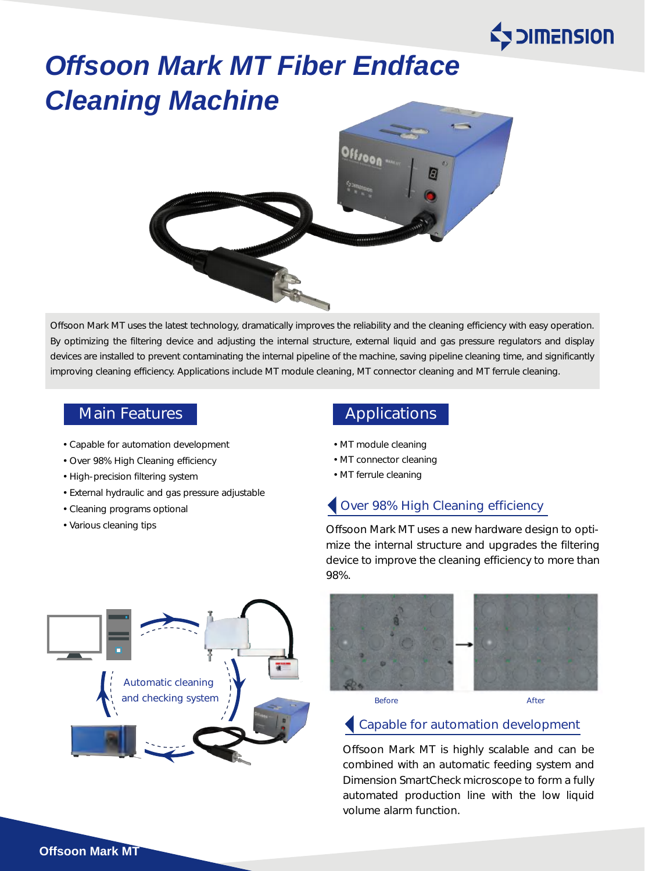

# *Offsoon Mark MT Fiber Endface Cleaning Machine*



Offsoon Mark MT uses the latest technology, dramatically improves the reliability and the cleaning efficiency with easy operation. By optimizing the filtering device and adjusting the internal structure, external liquid and gas pressure regulators and display devices are installed to prevent contaminating the internal pipeline of the machine, saving pipeline cleaning time, and significantly improving cleaning efficiency. Applications include MT module cleaning, MT connector cleaning and MT ferrule cleaning.

- Capable for automation development
- Over 98% High Cleaning efficiency
- High-precision filtering system
- External hydraulic and gas pressure adjustable
- Cleaning programs optional
- Various cleaning tips

# Main Features **Applications**

- MT module cleaning
- MT connector cleaning
- MT ferrule cleaning

# Over 98% High Cleaning efficiency

Offsoon Mark MT uses a new hardware design to optimize the internal structure and upgrades the filtering device to improve the cleaning efficiency to more than 98%.





### Capable for automation development

Offsoon Mark MT is highly scalable and can be combined with an automatic feeding system and Dimension SmartCheck microscope to form a fully automated production line with the low liquid volume alarm function.

**Offsoon Mark MT**